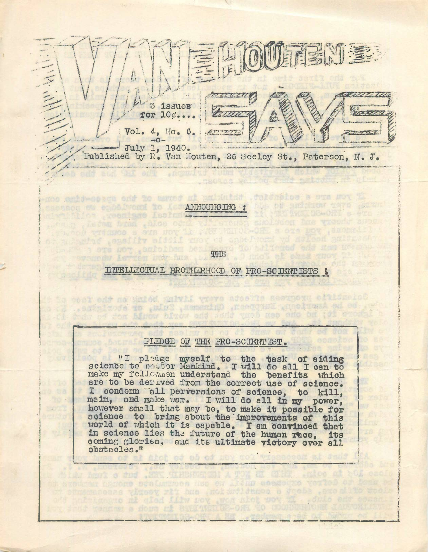侧面影响室 3 issues for  $10\%$ ....  $Vol<sub>e</sub> 4, Mo<sub>e</sub> 6.$  $-0-$  July 1, 1940. Published by R. Van Houten, 26 Seeley St., Paterson, N. J.

ANNOUNCING :

mos emid-opequ odd 20 marcod mi anixhidd .deksaplos a oga mov El

or subsative enasting affoli move of anne home yd dulasd

and and the one promoted

provide transpo s ors now it was wall

sovers sheden from shlop outder J

with are not earlorbed beal

:>

i! t

a

!<br>!!

.ORL s one now , dmon

. O mich at ches will

EITELUW JAL BROTHERHOOD OF PRO-SCUENTISTS I

to cost edd no suided shiwll vieve adoctis assupoud citionolos . satalwofa do aulary manualno praecoradi ernolusa od od.

hair ed don hinou birou add and ynob neo eno on to

## PIEDGE OF THE PRO-SCIENTIST.

"I pledge science to pertor make my fellowmen are to be derived all condemn all perversions of science maim, and make war myself to the task of aiding mysell to the task of alding<br>Mankind. I will do all I can to understand the benefits which from the correct use of science. , to kill, . and make war. I will do all in my power, maim, and make var. I will do all in my power,<br>however small that may be, to make it possible for science to bring about the improvements of this science to bring about the improvements of this in science lies the future of the human race, its coming glories, and its ultimate victory over ell obstacles."

scaluminoes Hsp ew Iting Beage

tongto mi glad filw nov won abot nov mi dula

gest rit han ancidntlinnon a docha